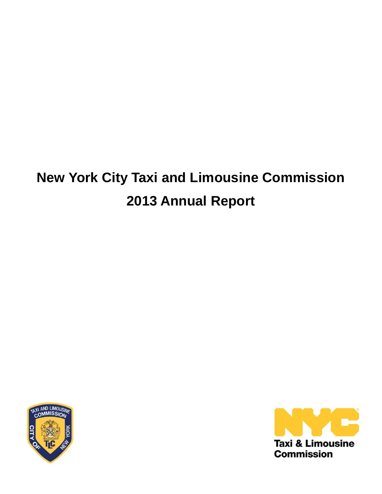# **New York City Taxi and Limousine Commission 2013 Annual Report**



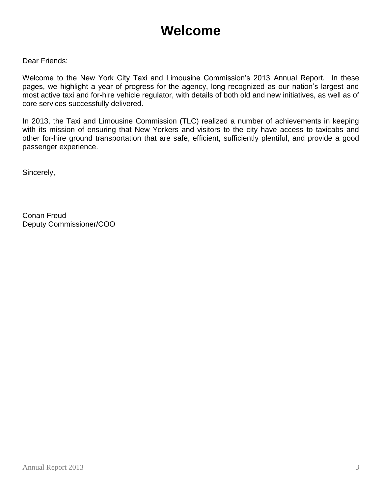Dear Friends:

Welcome to the New York City Taxi and Limousine Commission's 2013 Annual Report. In these pages, we highlight a year of progress for the agency, long recognized as our nation's largest and most active taxi and for-hire vehicle regulator, with details of both old and new initiatives, as well as of core services successfully delivered.

In 2013, the Taxi and Limousine Commission (TLC) realized a number of achievements in keeping with its mission of ensuring that New Yorkers and visitors to the city have access to taxicabs and other for-hire ground transportation that are safe, efficient, sufficiently plentiful, and provide a good passenger experience.

Sincerely,

Conan Freud Deputy Commissioner/COO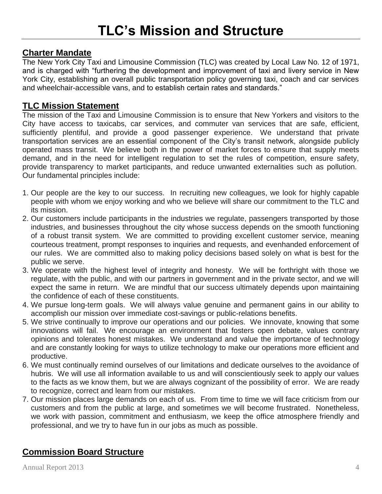# **Charter Mandate**

The New York City Taxi and Limousine Commission (TLC) was created by Local Law No. 12 of 1971, and is charged with "furthering the development and improvement of taxi and livery service in New York City, establishing an overall public transportation policy governing taxi, coach and car services and wheelchair-accessible vans, and to establish certain rates and standards."

# **TLC Mission Statement**

The mission of the Taxi and Limousine Commission is to ensure that New Yorkers and visitors to the City have access to taxicabs, car services, and commuter van services that are safe, efficient, sufficiently plentiful, and provide a good passenger experience. We understand that private transportation services are an essential component of the City's transit network, alongside publicly operated mass transit. We believe both in the power of market forces to ensure that supply meets demand, and in the need for intelligent regulation to set the rules of competition, ensure safety, provide transparency to market participants, and reduce unwanted externalities such as pollution. Our fundamental principles include:

- 1. Our people are the key to our success. In recruiting new colleagues, we look for highly capable people with whom we enjoy working and who we believe will share our commitment to the TLC and its mission.
- 2. Our customers include participants in the industries we regulate, passengers transported by those industries, and businesses throughout the city whose success depends on the smooth functioning of a robust transit system. We are committed to providing excellent customer service, meaning courteous treatment, prompt responses to inquiries and requests, and evenhanded enforcement of our rules. We are committed also to making policy decisions based solely on what is best for the public we serve.
- 3. We operate with the highest level of integrity and honesty. We will be forthright with those we regulate, with the public, and with our partners in government and in the private sector, and we will expect the same in return. We are mindful that our success ultimately depends upon maintaining the confidence of each of these constituents.
- 4. We pursue long-term goals. We will always value genuine and permanent gains in our ability to accomplish our mission over immediate cost-savings or public-relations benefits.
- 5. We strive continually to improve our operations and our policies. We innovate, knowing that some innovations will fail. We encourage an environment that fosters open debate, values contrary opinions and tolerates honest mistakes. We understand and value the importance of technology and are constantly looking for ways to utilize technology to make our operations more efficient and productive.
- 6. We must continually remind ourselves of our limitations and dedicate ourselves to the avoidance of hubris. We will use all information available to us and will conscientiously seek to apply our values to the facts as we know them, but we are always cognizant of the possibility of error. We are ready to recognize, correct and learn from our mistakes.
- 7. Our mission places large demands on each of us. From time to time we will face criticism from our customers and from the public at large, and sometimes we will become frustrated. Nonetheless, we work with passion, commitment and enthusiasm, we keep the office atmosphere friendly and professional, and we try to have fun in our jobs as much as possible.

# **Commission Board Structure**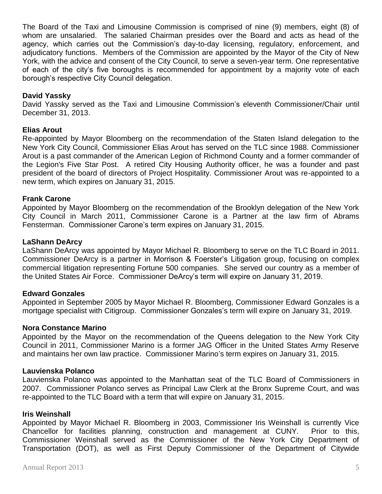The Board of the Taxi and Limousine Commission is comprised of nine (9) members, eight (8) of whom are unsalaried. The salaried Chairman presides over the Board and acts as head of the agency, which carries out the Commission's day-to-day licensing, regulatory, enforcement, and adjudicatory functions. Members of the Commission are appointed by the Mayor of the City of New York, with the advice and consent of the City Council, to serve a seven-year term. One representative of each of the city's five boroughs is recommended for appointment by a majority vote of each borough's respective City Council delegation.

#### **David Yassky**

David Yassky served as the Taxi and Limousine Commission's eleventh Commissioner/Chair until December 31, 2013.

#### **Elias Arout**

Re-appointed by Mayor Bloomberg on the recommendation of the Staten Island delegation to the New York City Council, Commissioner Elias Arout has served on the TLC since 1988. Commissioner Arout is a past commander of the American Legion of Richmond County and a former commander of the Legion's Five Star Post. A retired City Housing Authority officer, he was a founder and past president of the board of directors of Project Hospitality. Commissioner Arout was re-appointed to a new term, which expires on January 31, 2015.

#### **Frank Carone**

Appointed by Mayor Bloomberg on the recommendation of the Brooklyn delegation of the New York City Council in March 2011, Commissioner Carone is a Partner at the law firm of Abrams Fensterman. Commissioner Carone's term expires on January 31, 2015.

#### **LaShann DeArcy**

LaShann DeArcy was appointed by Mayor Michael R. Bloomberg to serve on the TLC Board in 2011. Commissioner DeArcy is a partner in Morrison & Foerster's Litigation group, focusing on complex commercial litigation representing Fortune 500 companies. She served our country as a member of the United States Air Force. Commissioner DeArcy's term will expire on January 31, 2019.

#### **Edward Gonzales**

Appointed in September 2005 by Mayor Michael R. Bloomberg, Commissioner Edward Gonzales is a mortgage specialist with Citigroup. Commissioner Gonzales's term will expire on January 31, 2019.

#### **Nora Constance Marino**

Appointed by the Mayor on the recommendation of the Queens delegation to the New York City Council in 2011, Commissioner Marino is a former JAG Officer in the United States Army Reserve and maintains her own law practice. Commissioner Marino's term expires on January 31, 2015.

#### **Lauvienska Polanco**

Lauvienska Polanco was appointed to the Manhattan seat of the TLC Board of Commissioners in 2007. Commissioner Polanco serves as Principal Law Clerk at the Bronx Supreme Court, and was re-appointed to the TLC Board with a term that will expire on January 31, 2015.

#### **Iris Weinshall**

Appointed by Mayor Michael R. Bloomberg in 2003, Commissioner Iris Weinshall is currently Vice Chancellor for facilities planning, construction and management at CUNY. Prior to this, Commissioner Weinshall served as the Commissioner of the New York City Department of Transportation (DOT), as well as First Deputy Commissioner of the Department of Citywide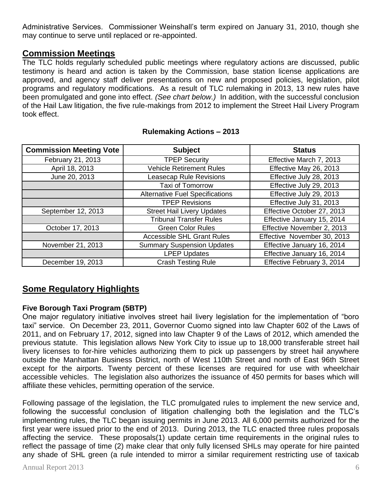Administrative Services. Commissioner Weinshall's term expired on January 31, 2010, though she may continue to serve until replaced or re-appointed.

# **Commission Meetings**

The TLC holds regularly scheduled public meetings where regulatory actions are discussed, public testimony is heard and action is taken by the Commission, base station license applications are approved, and agency staff deliver presentations on new and proposed policies, legislation, pilot programs and regulatory modifications. As a result of TLC rulemaking in 2013, 13 new rules have been promulgated and gone into effect. *(See chart below.)* In addition, with the successful conclusion of the Hail Law litigation, the five rule-makings from 2012 to implement the Street Hail Livery Program took effect.

| <b>Commission Meeting Vote</b> | <b>Subject</b>                         | <b>Status</b>               |  |
|--------------------------------|----------------------------------------|-----------------------------|--|
| February 21, 2013              | <b>TPEP Security</b>                   | Effective March 7, 2013     |  |
| April 18, 2013                 | <b>Vehicle Retirement Rules</b>        | Effective May 26, 2013      |  |
| June 20, 2013                  | <b>Leasecap Rule Revisions</b>         | Effective July 28, 2013     |  |
|                                | <b>Taxi of Tomorrow</b>                | Effective July 29, 2013     |  |
|                                | <b>Alternative Fuel Specifications</b> | Effective July 29, 2013     |  |
|                                | <b>TPEP Revisions</b>                  | Effective July 31, 2013     |  |
| September 12, 2013             | <b>Street Hail Livery Updates</b>      | Effective October 27, 2013  |  |
|                                | <b>Tribunal Transfer Rules</b>         | Effective January 15, 2014  |  |
| October 17, 2013               | <b>Green Color Rules</b>               | Effective November 2, 2013  |  |
|                                | <b>Accessible SHL Grant Rules</b>      | Effective November 30, 2013 |  |
| November 21, 2013              | <b>Summary Suspension Updates</b>      | Effective January 16, 2014  |  |
|                                | <b>LPEP Updates</b>                    | Effective January 16, 2014  |  |
| December 19, 2013              | <b>Crash Testing Rule</b>              | Effective February 3, 2014  |  |

#### **Rulemaking Actions – 2013**

# **Some Regulatory Highlights**

# **Five Borough Taxi Program (5BTP)**

One major regulatory initiative involves street hail livery legislation for the implementation of "boro taxi" service. On December 23, 2011, Governor Cuomo signed into law Chapter 602 of the Laws of 2011, and on February 17, 2012, signed into law Chapter 9 of the Laws of 2012, which amended the previous statute. This legislation allows New York City to issue up to 18,000 transferable street hail livery licenses to for-hire vehicles authorizing them to pick up passengers by street hail anywhere outside the Manhattan Business District, north of West 110th Street and north of East 96th Street except for the airports. Twenty percent of these licenses are required for use with wheelchair accessible vehicles. The legislation also authorizes the issuance of 450 permits for bases which will affiliate these vehicles, permitting operation of the service.

Following passage of the legislation, the TLC promulgated rules to implement the new service and, following the successful conclusion of litigation challenging both the legislation and the TLC's implementing rules, the TLC began issuing permits in June 2013. All 6,000 permits authorized for the first year were issued prior to the end of 2013. During 2013, the TLC enacted three rules proposals affecting the service. These proposals(1) update certain time requirements in the original rules to reflect the passage of time (2) make clear that only fully licensed SHLs may operate for hire painted any shade of SHL green (a rule intended to mirror a similar requirement restricting use of taxicab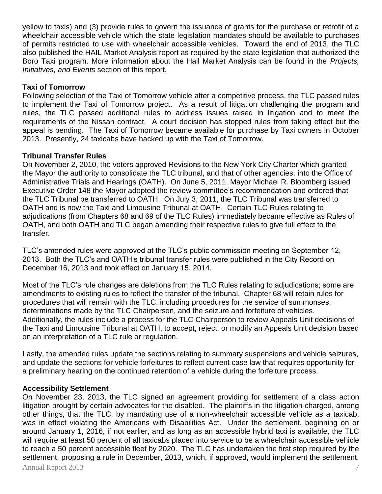yellow to taxis) and (3) provide rules to govern the issuance of grants for the purchase or retrofit of a wheelchair accessible vehicle which the state legislation mandates should be available to purchases of permits restricted to use with wheelchair accessible vehicles. Toward the end of 2013, the TLC also published the HAIL Market Analysis report as required by the state legislation that authorized the Boro Taxi program. More information about the Hail Market Analysis can be found in the *Projects, Initiatives, and Events* section of this report.

#### **Taxi of Tomorrow**

Following selection of the Taxi of Tomorrow vehicle after a competitive process, the TLC passed rules to implement the Taxi of Tomorrow project. As a result of litigation challenging the program and rules, the TLC passed additional rules to address issues raised in litigation and to meet the requirements of the Nissan contract. A court decision has stopped rules from taking effect but the appeal is pending. The Taxi of Tomorrow became available for purchase by Taxi owners in October 2013. Presently, 24 taxicabs have hacked up with the Taxi of Tomorrow.

#### **Tribunal Transfer Rules**

On November 2, 2010, the voters approved Revisions to the New York City Charter which granted the Mayor the authority to consolidate the TLC tribunal, and that of other agencies, into the Office of Administrative Trials and Hearings (OATH). On June 5, 2011, Mayor Michael R. Bloomberg issued Executive Order 148 the Mayor adopted the review committee's recommendation and ordered that the TLC Tribunal be transferred to OATH. On July 3, 2011, the TLC Tribunal was transferred to OATH and is now the Taxi and Limousine Tribunal at OATH. Certain TLC Rules relating to adjudications (from Chapters 68 and 69 of the TLC Rules) immediately became effective as Rules of OATH, and both OATH and TLC began amending their respective rules to give full effect to the transfer.

TLC's amended rules were approved at the TLC's public commission meeting on September 12, 2013. Both the TLC's and OATH's tribunal transfer rules were published in the City Record on December 16, 2013 and took effect on January 15, 2014.

Most of the TLC's rule changes are deletions from the TLC Rules relating to adjudications; some are amendments to existing rules to reflect the transfer of the tribunal. Chapter 68 will retain rules for procedures that will remain with the TLC, including procedures for the service of summonses, determinations made by the TLC Chairperson, and the seizure and forfeiture of vehicles. Additionally, the rules include a process for the TLC Chairperson to review Appeals Unit decisions of the Taxi and Limousine Tribunal at OATH, to accept, reject, or modify an Appeals Unit decision based on an interpretation of a TLC rule or regulation.

Lastly, the amended rules update the sections relating to summary suspensions and vehicle seizures, and update the sections for vehicle forfeitures to reflect current case law that requires opportunity for a preliminary hearing on the continued retention of a vehicle during the forfeiture process.

#### **Accessibility Settlement**

Annual Report 2013 7 On November 23, 2013, the TLC signed an agreement providing for settlement of a class action litigation brought by certain advocates for the disabled. The plaintiffs in the litigation charged, among other things, that the TLC, by mandating use of a non-wheelchair accessible vehicle as a taxicab, was in effect violating the Americans with Disabilities Act. Under the settlement, beginning on or around January 1, 2016, if not earlier, and as long as an accessible hybrid taxi is available, the TLC will require at least 50 percent of all taxicabs placed into service to be a wheelchair accessible vehicle to reach a 50 percent accessible fleet by 2020. The TLC has undertaken the first step required by the settlement, proposing a rule in December, 2013, which, if approved, would implement the settlement.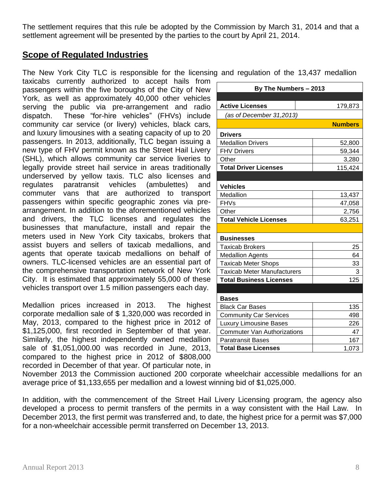The settlement requires that this rule be adopted by the Commission by March 31, 2014 and that a settlement agreement will be presented by the parties to the court by April 21, 2014.

# **Scope of Regulated Industries**

The New York City TLC is responsible for the licensing and regulation of the 13,437 medallion

taxicabs currently authorized to accept hails from passengers within the five boroughs of the City of New York, as well as approximately 40,000 other vehicles serving the public via pre-arrangement and radio dispatch. These "for-hire vehicles" (FHVs) include community car service (or livery) vehicles, black cars, and luxury limousines with a seating capacity of up to 20 passengers. In 2013, additionally, TLC began issuing a new type of FHV permit known as the Street Hail Livery (SHL), which allows community car service liveries to legally provide street hail service in areas traditionally underserved by yellow taxis. TLC also licenses and regulates paratransit vehicles (ambulettes) and commuter vans that are authorized to transport passengers within specific geographic zones via prearrangement. In addition to the aforementioned vehicles and drivers, the TLC licenses and regulates the businesses that manufacture, install and repair the meters used in New York City taxicabs, brokers that assist buyers and sellers of taxicab medallions, and agents that operate taxicab medallions on behalf of owners. TLC-licensed vehicles are an essential part of the comprehensive transportation network of New York City. It is estimated that approximately 55,000 of these vehicles transport over 1.5 million passengers each day.

Medallion prices increased in 2013. The highest corporate medallion sale of \$ 1,320,000 was recorded in May, 2013, compared to the highest price in 2012 of \$1,125,000, first recorded in September of that year. Similarly, the highest independently owned medallion sale of \$1,051,000.00 was recorded in June, 2013, compared to the highest price in 2012 of \$808,000 recorded in December of that year. Of particular note, in

| By The Numbers - 2013              |                |  |  |  |  |
|------------------------------------|----------------|--|--|--|--|
|                                    |                |  |  |  |  |
| <b>Active Licenses</b>             | 179,873        |  |  |  |  |
| (as of December 31,2013)           |                |  |  |  |  |
|                                    | <b>Numbers</b> |  |  |  |  |
| <b>Drivers</b>                     |                |  |  |  |  |
| <b>Medallion Drivers</b>           | 52,800         |  |  |  |  |
| <b>FHV Drivers</b>                 | 59,344         |  |  |  |  |
| Other                              | 3,280          |  |  |  |  |
| <b>Total Driver Licenses</b>       | 115,424        |  |  |  |  |
|                                    |                |  |  |  |  |
| <b>Vehicles</b>                    |                |  |  |  |  |
| Medallion                          | 13,437         |  |  |  |  |
| <b>FHVs</b>                        | 47,058         |  |  |  |  |
| Other                              | 2,756          |  |  |  |  |
| <b>Total Vehicle Licenses</b>      | 63,251         |  |  |  |  |
|                                    |                |  |  |  |  |
| <b>Businesses</b>                  |                |  |  |  |  |
| <b>Taxicab Brokers</b>             | 25             |  |  |  |  |
| <b>Medallion Agents</b>            | 64             |  |  |  |  |
| <b>Taxicab Meter Shops</b>         | 33             |  |  |  |  |
| <b>Taxicab Meter Manufacturers</b> | 3              |  |  |  |  |
| <b>Total Business Licenses</b>     | 125            |  |  |  |  |
|                                    |                |  |  |  |  |
| <b>Bases</b>                       |                |  |  |  |  |
| <b>Black Car Bases</b>             | 135            |  |  |  |  |
| <b>Community Car Services</b>      | 498            |  |  |  |  |
| <b>Luxury Limousine Bases</b>      | 226            |  |  |  |  |
| <b>Commuter Van Authorizations</b> | 47             |  |  |  |  |
| <b>Paratransit Bases</b>           | 167            |  |  |  |  |
| <b>Total Base Licenses</b>         | 1,073          |  |  |  |  |

November 2013 the Commission auctioned 200 corporate wheelchair accessible medallions for an average price of \$1,133,655 per medallion and a lowest winning bid of \$1,025,000.

In addition, with the commencement of the Street Hail Livery Licensing program, the agency also developed a process to permit transfers of the permits in a way consistent with the Hail Law. In December 2013, the first permit was transferred and, to date, the highest price for a permit was \$7,000 for a non-wheelchair accessible permit transferred on December 13, 2013.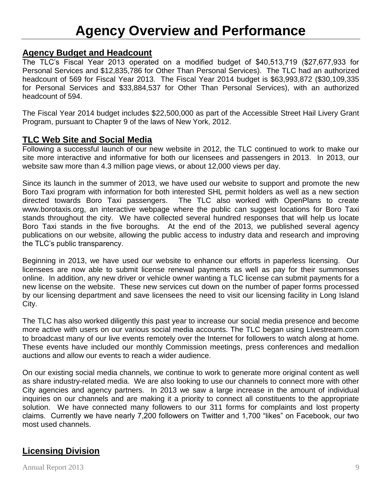# **Agency Budget and Headcount**

The TLC's Fiscal Year 2013 operated on a modified budget of \$40,513,719 (\$27,677,933 for Personal Services and \$12,835,786 for Other Than Personal Services). The TLC had an authorized headcount of 569 for Fiscal Year 2013. The Fiscal Year 2014 budget is \$63,993,872 (\$30,109,335 for Personal Services and \$33,884,537 for Other Than Personal Services), with an authorized headcount of 594.

The Fiscal Year 2014 budget includes \$22,500,000 as part of the Accessible Street Hail Livery Grant Program, pursuant to Chapter 9 of the laws of New York, 2012.

# **TLC Web Site and Social Media**

Following a successful launch of our new website in 2012, the TLC continued to work to make our site more interactive and informative for both our licensees and passengers in 2013. In 2013, our website saw more than 4.3 million page views, or about 12,000 views per day.

Since its launch in the summer of 2013, we have used our website to support and promote the new Boro Taxi program with information for both interested SHL permit holders as well as a new section directed towards Boro Taxi passengers. The TLC also worked with OpenPlans to create www.borotaxis.org, an interactive webpage where the public can suggest locations for Boro Taxi stands throughout the city. We have collected several hundred responses that will help us locate Boro Taxi stands in the five boroughs. At the end of the 2013, we published several agency publications on our website, allowing the public access to industry data and research and improving the TLC's public transparency.

Beginning in 2013, we have used our website to enhance our efforts in paperless licensing. Our licensees are now able to submit license renewal payments as well as pay for their summonses online. In addition, any new driver or vehicle owner wanting a TLC license can submit payments for a new license on the website. These new services cut down on the number of paper forms processed by our licensing department and save licensees the need to visit our licensing facility in Long Island City.

The TLC has also worked diligently this past year to increase our social media presence and become more active with users on our various social media accounts. The TLC began using Livestream.com to broadcast many of our live events remotely over the Internet for followers to watch along at home. These events have included our monthly Commission meetings, press conferences and medallion auctions and allow our events to reach a wider audience.

On our existing social media channels, we continue to work to generate more original content as well as share industry-related media. We are also looking to use our channels to connect more with other City agencies and agency partners. In 2013 we saw a large increase in the amount of individual inquiries on our channels and are making it a priority to connect all constituents to the appropriate solution. We have connected many followers to our 311 forms for complaints and lost property claims. Currently we have nearly 7,200 followers on Twitter and 1,700 "likes" on Facebook, our two most used channels.

# **Licensing Division**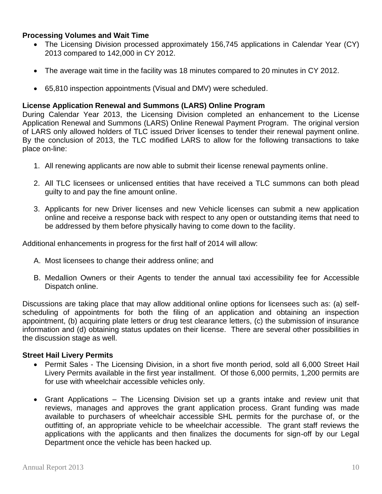#### **Processing Volumes and Wait Time**

- The Licensing Division processed approximately 156,745 applications in Calendar Year (CY) 2013 compared to 142,000 in CY 2012.
- The average wait time in the facility was 18 minutes compared to 20 minutes in CY 2012.
- 65,810 inspection appointments (Visual and DMV) were scheduled.

#### **License Application Renewal and Summons (LARS) Online Program**

During Calendar Year 2013, the Licensing Division completed an enhancement to the License Application Renewal and Summons (LARS) Online Renewal Payment Program. The original version of LARS only allowed holders of TLC issued Driver licenses to tender their renewal payment online. By the conclusion of 2013, the TLC modified LARS to allow for the following transactions to take place on-line:

- 1. All renewing applicants are now able to submit their license renewal payments online.
- 2. All TLC licensees or unlicensed entities that have received a TLC summons can both plead guilty to and pay the fine amount online.
- 3. Applicants for new Driver licenses and new Vehicle licenses can submit a new application online and receive a response back with respect to any open or outstanding items that need to be addressed by them before physically having to come down to the facility.

Additional enhancements in progress for the first half of 2014 will allow:

- A. Most licensees to change their address online; and
- B. Medallion Owners or their Agents to tender the annual taxi accessibility fee for Accessible Dispatch online.

Discussions are taking place that may allow additional online options for licensees such as: (a) selfscheduling of appointments for both the filing of an application and obtaining an inspection appointment, (b) acquiring plate letters or drug test clearance letters, (c) the submission of insurance information and (d) obtaining status updates on their license. There are several other possibilities in the discussion stage as well.

#### **Street Hail Livery Permits**

- Permit Sales The Licensing Division, in a short five month period, sold all 6,000 Street Hail Livery Permits available in the first year installment. Of those 6,000 permits, 1,200 permits are for use with wheelchair accessible vehicles only.
- Grant Applications The Licensing Division set up a grants intake and review unit that reviews, manages and approves the grant application process. Grant funding was made available to purchasers of wheelchair accessible SHL permits for the purchase of, or the outfitting of, an appropriate vehicle to be wheelchair accessible. The grant staff reviews the applications with the applicants and then finalizes the documents for sign-off by our Legal Department once the vehicle has been hacked up.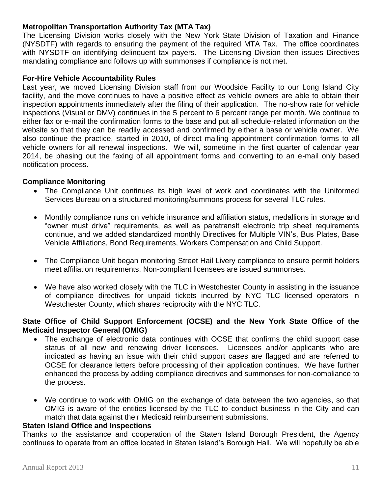#### **Metropolitan Transportation Authority Tax (MTA Tax)**

The Licensing Division works closely with the New York State Division of Taxation and Finance (NYSDTF) with regards to ensuring the payment of the required MTA Tax. The office coordinates with NYSDTF on identifying delinquent tax payers. The Licensing Division then issues Directives mandating compliance and follows up with summonses if compliance is not met.

#### **For-Hire Vehicle Accountability Rules**

Last year, we moved Licensing Division staff from our Woodside Facility to our Long Island City facility, and the move continues to have a positive effect as vehicle owners are able to obtain their inspection appointments immediately after the filing of their application. The no-show rate for vehicle inspections (Visual or DMV) continues in the 5 percent to 6 percent range per month. We continue to either fax or e-mail the confirmation forms to the base and put all schedule-related information on the website so that they can be readily accessed and confirmed by either a base or vehicle owner. We also continue the practice, started in 2010, of direct mailing appointment confirmation forms to all vehicle owners for all renewal inspections. We will, sometime in the first quarter of calendar year 2014, be phasing out the faxing of all appointment forms and converting to an e-mail only based notification process.

#### **Compliance Monitoring**

- The Compliance Unit continues its high level of work and coordinates with the Uniformed Services Bureau on a structured monitoring/summons process for several TLC rules.
- Monthly compliance runs on vehicle insurance and affiliation status, medallions in storage and "owner must drive" requirements, as well as paratransit electronic trip sheet requirements continue, and we added standardized monthly Directives for Multiple VIN's, Bus Plates, Base Vehicle Affiliations, Bond Requirements, Workers Compensation and Child Support.
- The Compliance Unit began monitoring Street Hail Livery compliance to ensure permit holders meet affiliation requirements. Non-compliant licensees are issued summonses.
- We have also worked closely with the TLC in Westchester County in assisting in the issuance of compliance directives for unpaid tickets incurred by NYC TLC licensed operators in Westchester County, which shares reciprocity with the NYC TLC.

#### **State Office of Child Support Enforcement (OCSE) and the New York State Office of the Medicaid Inspector General (OMIG)**

- The exchange of electronic data continues with OCSE that confirms the child support case status of all new and renewing driver licensees. Licensees and/or applicants who are indicated as having an issue with their child support cases are flagged and are referred to OCSE for clearance letters before processing of their application continues. We have further enhanced the process by adding compliance directives and summonses for non-compliance to the process.
- We continue to work with OMIG on the exchange of data between the two agencies, so that OMIG is aware of the entities licensed by the TLC to conduct business in the City and can match that data against their Medicaid reimbursement submissions.

#### **Staten Island Office and Inspections**

Thanks to the assistance and cooperation of the Staten Island Borough President, the Agency continues to operate from an office located in Staten Island's Borough Hall. We will hopefully be able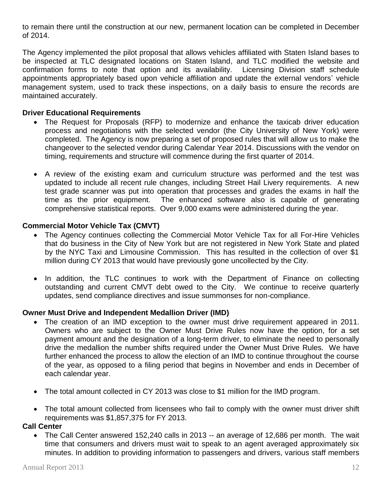to remain there until the construction at our new, permanent location can be completed in December of 2014.

The Agency implemented the pilot proposal that allows vehicles affiliated with Staten Island bases to be inspected at TLC designated locations on Staten Island, and TLC modified the website and confirmation forms to note that option and its availability. Licensing Division staff schedule appointments appropriately based upon vehicle affiliation and update the external vendors' vehicle management system, used to track these inspections, on a daily basis to ensure the records are maintained accurately.

#### **Driver Educational Requirements**

- The Request for Proposals (RFP) to modernize and enhance the taxicab driver education process and negotiations with the selected vendor (the City University of New York) were completed. The Agency is now preparing a set of proposed rules that will allow us to make the changeover to the selected vendor during Calendar Year 2014. Discussions with the vendor on timing, requirements and structure will commence during the first quarter of 2014.
- A review of the existing exam and curriculum structure was performed and the test was updated to include all recent rule changes, including Street Hail Livery requirements. A new test grade scanner was put into operation that processes and grades the exams in half the time as the prior equipment. The enhanced software also is capable of generating comprehensive statistical reports. Over 9,000 exams were administered during the year.

#### **Commercial Motor Vehicle Tax (CMVT)**

- The Agency continues collecting the Commercial Motor Vehicle Tax for all For-Hire Vehicles that do business in the City of New York but are not registered in New York State and plated by the NYC Taxi and Limousine Commission. This has resulted in the collection of over \$1 million during CY 2013 that would have previously gone uncollected by the City.
- In addition, the TLC continues to work with the Department of Finance on collecting outstanding and current CMVT debt owed to the City. We continue to receive quarterly updates, send compliance directives and issue summonses for non-compliance.

#### **Owner Must Drive and Independent Medallion Driver (IMD)**

- The creation of an IMD exception to the owner must drive requirement appeared in 2011. Owners who are subject to the Owner Must Drive Rules now have the option, for a set payment amount and the designation of a long-term driver, to eliminate the need to personally drive the medallion the number shifts required under the Owner Must Drive Rules. We have further enhanced the process to allow the election of an IMD to continue throughout the course of the year, as opposed to a filing period that begins in November and ends in December of each calendar year.
- The total amount collected in CY 2013 was close to \$1 million for the IMD program.
- The total amount collected from licensees who fail to comply with the owner must driver shift requirements was \$1,857,375 for FY 2013.

#### **Call Center**

 The Call Center answered 152,240 calls in 2013 -- an average of 12,686 per month. The wait time that consumers and drivers must wait to speak to an agent averaged approximately six minutes. In addition to providing information to passengers and drivers, various staff members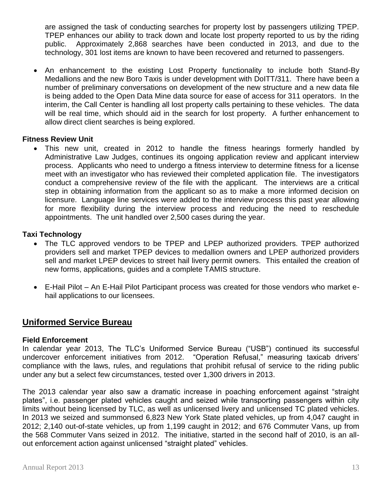are assigned the task of conducting searches for property lost by passengers utilizing TPEP. TPEP enhances our ability to track down and locate lost property reported to us by the riding public. Approximately 2,868 searches have been conducted in 2013, and due to the technology, 301 lost items are known to have been recovered and returned to passengers.

 An enhancement to the existing Lost Property functionality to include both Stand-By Medallions and the new Boro Taxis is under development with DoITT/311. There have been a number of preliminary conversations on development of the new structure and a new data file is being added to the Open Data Mine data source for ease of access for 311 operators. In the interim, the Call Center is handling all lost property calls pertaining to these vehicles. The data will be real time, which should aid in the search for lost property. A further enhancement to allow direct client searches is being explored.

#### **Fitness Review Unit**

 This new unit, created in 2012 to handle the fitness hearings formerly handled by Administrative Law Judges, continues its ongoing application review and applicant interview process. Applicants who need to undergo a fitness interview to determine fitness for a license meet with an investigator who has reviewed their completed application file. The investigators conduct a comprehensive review of the file with the applicant. The interviews are a critical step in obtaining information from the applicant so as to make a more informed decision on licensure. Language line services were added to the interview process this past year allowing for more flexibility during the interview process and reducing the need to reschedule appointments. The unit handled over 2,500 cases during the year.

#### **Taxi Technology**

- The TLC approved vendors to be TPEP and LPEP authorized providers. TPEP authorized providers sell and market TPEP devices to medallion owners and LPEP authorized providers sell and market LPEP devices to street hail livery permit owners. This entailed the creation of new forms, applications, guides and a complete TAMIS structure.
- E-Hail Pilot An E-Hail Pilot Participant process was created for those vendors who market ehail applications to our licensees.

# **Uniformed Service Bureau**

#### **Field Enforcement**

In calendar year 2013, The TLC's Uniformed Service Bureau ("USB") continued its successful undercover enforcement initiatives from 2012. "Operation Refusal," measuring taxicab drivers' compliance with the laws, rules, and regulations that prohibit refusal of service to the riding public under any but a select few circumstances, tested over 1,300 drivers in 2013.

The 2013 calendar year also saw a dramatic increase in poaching enforcement against "straight plates", i.e. passenger plated vehicles caught and seized while transporting passengers within city limits without being licensed by TLC, as well as unlicensed livery and unlicensed TC plated vehicles. In 2013 we seized and summonsed 6,823 New York State plated vehicles, up from 4,047 caught in 2012; 2,140 out-of-state vehicles, up from 1,199 caught in 2012; and 676 Commuter Vans, up from the 568 Commuter Vans seized in 2012. The initiative, started in the second half of 2010, is an allout enforcement action against unlicensed "straight plated" vehicles.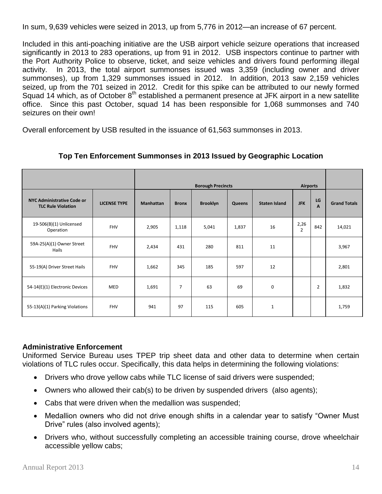In sum, 9,639 vehicles were seized in 2013, up from 5,776 in 2012—an increase of 67 percent.

Included in this anti-poaching initiative are the USB airport vehicle seizure operations that increased significantly in 2013 to 283 operations, up from 91 in 2012. USB inspectors continue to partner with the Port Authority Police to observe, ticket, and seize vehicles and drivers found performing illegal activity. In 2013, the total airport summonses issued was 3,359 (including owner and driver summonses), up from 1,329 summonses issued in 2012. In addition, 2013 saw 2,159 vehicles seized, up from the 701 seized in 2012. Credit for this spike can be attributed to our newly formed Squad 14 which, as of October 8<sup>th</sup> established a permanent presence at JFK airport in a new satellite office. Since this past October, squad 14 has been responsible for 1,068 summonses and 740 seizures on their own!

Overall enforcement by USB resulted in the issuance of 61,563 summonses in 2013.

|                                                                |                     | <b>Borough Precincts</b><br><b>Airports</b> |              |                 |               |                      |                        |                |                     |
|----------------------------------------------------------------|---------------------|---------------------------------------------|--------------|-----------------|---------------|----------------------|------------------------|----------------|---------------------|
| <b>NYC Administrative Code or</b><br><b>TLC Rule Violation</b> | <b>LICENSE TYPE</b> | <b>Manhattan</b>                            | <b>Bronx</b> | <b>Brooklyn</b> | <b>Queens</b> | <b>Staten Island</b> | <b>JFK</b>             | LG<br>A        | <b>Grand Totals</b> |
| 19-506(B)(1) Unlicensed<br>Operation                           | <b>FHV</b>          | 2,905                                       | 1,118        | 5,041           | 1,837         | 16                   | 2,26<br>$\overline{2}$ | 842            | 14,021              |
| 59A-25(A)(1) Owner Street<br>Hails                             | FHV                 | 2,434                                       | 431          | 280             | 811           | 11                   |                        |                | 3,967               |
| 55-19(A) Driver Street Hails                                   | <b>FHV</b>          | 1,662                                       | 345          | 185             | 597           | 12                   |                        |                | 2,801               |
| 54-14(E)(1) Electronic Devices                                 | MED                 | 1,691                                       | 7            | 63              | 69            | $\mathbf 0$          |                        | $\overline{2}$ | 1,832               |
| 55-13(A)(1) Parking Violations                                 | <b>FHV</b>          | 941                                         | 97           | 115             | 605           | $\mathbf{1}$         |                        |                | 1,759               |

## **Top Ten Enforcement Summonses in 2013 Issued by Geographic Location**

#### **Administrative Enforcement**

Uniformed Service Bureau uses TPEP trip sheet data and other data to determine when certain violations of TLC rules occur. Specifically, this data helps in determining the following violations:

- Drivers who drove yellow cabs while TLC license of said drivers were suspended;
- Owners who allowed their cab(s) to be driven by suspended drivers (also agents);
- Cabs that were driven when the medallion was suspended;
- Medallion owners who did not drive enough shifts in a calendar year to satisfy "Owner Must Drive" rules (also involved agents);
- Drivers who, without successfully completing an accessible training course, drove wheelchair accessible yellow cabs;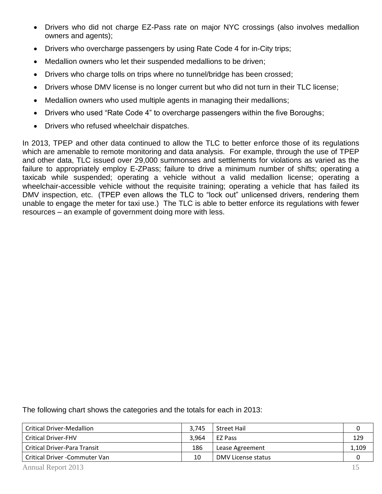- Drivers who did not charge EZ-Pass rate on major NYC crossings (also involves medallion owners and agents);
- Drivers who overcharge passengers by using Rate Code 4 for in-City trips;
- Medallion owners who let their suspended medallions to be driven;
- Drivers who charge tolls on trips where no tunnel/bridge has been crossed;
- Drivers whose DMV license is no longer current but who did not turn in their TLC license;
- Medallion owners who used multiple agents in managing their medallions;
- Drivers who used "Rate Code 4" to overcharge passengers within the five Boroughs;
- Drivers who refused wheelchair dispatches.

In 2013, TPEP and other data continued to allow the TLC to better enforce those of its regulations which are amenable to remote monitoring and data analysis. For example, through the use of TPEP and other data, TLC issued over 29,000 summonses and settlements for violations as varied as the failure to appropriately employ E-ZPass; failure to drive a minimum number of shifts; operating a taxicab while suspended; operating a vehicle without a valid medallion license; operating a wheelchair-accessible vehicle without the requisite training; operating a vehicle that has failed its DMV inspection, etc. (TPEP even allows the TLC to "lock out" unlicensed drivers, rendering them unable to engage the meter for taxi use.) The TLC is able to better enforce its regulations with fewer resources – an example of government doing more with less.

The following chart shows the categories and the totals for each in 2013:

| Critical Driver-Medallion           | 3.745 | <b>Street Hail</b> |       |
|-------------------------------------|-------|--------------------|-------|
| <b>Critical Driver-FHV</b>          | 3.964 | EZ Pass            | 129   |
| <b>Critical Driver-Para Transit</b> | 186   | Lease Agreement    | 1,109 |
| Critical Driver - Commuter Van      | 10    | DMV License status |       |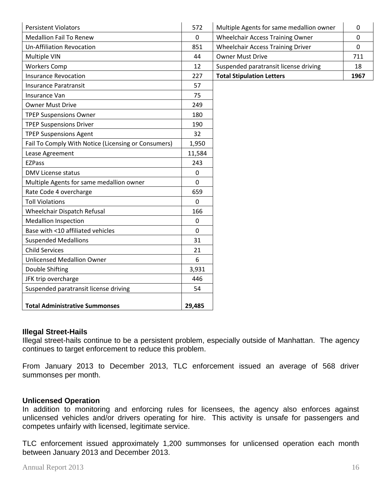| <b>Persistent Violators</b>                         | 572            | Multiple Agents for same medallion owner | $\mathbf 0$    |
|-----------------------------------------------------|----------------|------------------------------------------|----------------|
| <b>Medallion Fail To Renew</b>                      | $\mathbf 0$    | <b>Wheelchair Access Training Owner</b>  | $\mathbf 0$    |
| <b>Un-Affiliation Revocation</b>                    | 851            | <b>Wheelchair Access Training Driver</b> | $\overline{0}$ |
| Multiple VIN                                        | 44             | <b>Owner Must Drive</b>                  | 711            |
| <b>Workers Comp</b>                                 | 12             | Suspended paratransit license driving    | 18             |
| <b>Insurance Revocation</b>                         | 227            | <b>Total Stipulation Letters</b>         | 1967           |
| <b>Insurance Paratransit</b>                        | 57             |                                          |                |
| Insurance Van                                       | 75             |                                          |                |
| <b>Owner Must Drive</b>                             | 249            |                                          |                |
| <b>TPEP Suspensions Owner</b>                       | 180            |                                          |                |
| <b>TPEP Suspensions Driver</b>                      | 190            |                                          |                |
| <b>TPEP Suspensions Agent</b>                       | 32             |                                          |                |
| Fail To Comply With Notice (Licensing or Consumers) | 1,950          |                                          |                |
| Lease Agreement                                     | 11,584         |                                          |                |
| <b>EZPass</b>                                       | 243            |                                          |                |
| <b>DMV License status</b>                           | $\mathbf 0$    |                                          |                |
| Multiple Agents for same medallion owner            | $\mathbf 0$    |                                          |                |
| Rate Code 4 overcharge                              | 659            |                                          |                |
| <b>Toll Violations</b>                              | $\mathbf 0$    |                                          |                |
| Wheelchair Dispatch Refusal                         | 166            |                                          |                |
| <b>Medallion Inspection</b>                         | $\mathbf 0$    |                                          |                |
| Base with <10 affiliated vehicles                   | $\overline{0}$ |                                          |                |
| <b>Suspended Medallions</b>                         | 31             |                                          |                |
| <b>Child Services</b>                               | 21             |                                          |                |
| <b>Unlicensed Medallion Owner</b>                   | 6              |                                          |                |
| Double Shifting                                     | 3,931          |                                          |                |
| JFK trip overcharge                                 | 446            |                                          |                |
| Suspended paratransit license driving               | 54             |                                          |                |
| <b>Total Administrative Summonses</b>               | 29,485         |                                          |                |

#### **Illegal Street-Hails**

Illegal street-hails continue to be a persistent problem, especially outside of Manhattan. The agency continues to target enforcement to reduce this problem.

From January 2013 to December 2013, TLC enforcement issued an average of 568 driver summonses per month.

#### **Unlicensed Operation**

In addition to monitoring and enforcing rules for licensees, the agency also enforces against unlicensed vehicles and/or drivers operating for hire. This activity is unsafe for passengers and competes unfairly with licensed, legitimate service.

TLC enforcement issued approximately 1,200 summonses for unlicensed operation each month between January 2013 and December 2013.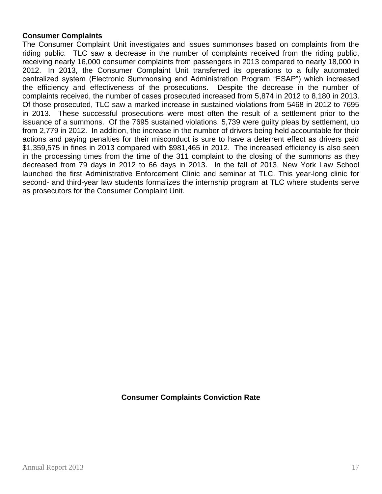#### **Consumer Complaints**

The Consumer Complaint Unit investigates and issues summonses based on complaints from the riding public. TLC saw a decrease in the number of complaints received from the riding public, receiving nearly 16,000 consumer complaints from passengers in 2013 compared to nearly 18,000 in 2012. In 2013, the Consumer Complaint Unit transferred its operations to a fully automated centralized system (Electronic Summonsing and Administration Program "ESAP") which increased the efficiency and effectiveness of the prosecutions. Despite the decrease in the number of complaints received, the number of cases prosecuted increased from 5,874 in 2012 to 8,180 in 2013. Of those prosecuted, TLC saw a marked increase in sustained violations from 5468 in 2012 to 7695 in 2013. These successful prosecutions were most often the result of a settlement prior to the issuance of a summons. Of the 7695 sustained violations, 5,739 were guilty pleas by settlement, up from 2,779 in 2012. In addition, the increase in the number of drivers being held accountable for their actions and paying penalties for their misconduct is sure to have a deterrent effect as drivers paid \$1,359,575 in fines in 2013 compared with \$981,465 in 2012. The increased efficiency is also seen in the processing times from the time of the 311 complaint to the closing of the summons as they decreased from 79 days in 2012 to 66 days in 2013. In the fall of 2013, New York Law School launched the first Administrative Enforcement Clinic and seminar at TLC. This year-long clinic for second- and third-year law students formalizes the internship program at TLC where students serve as prosecutors for the Consumer Complaint Unit.

#### **Consumer Complaints Conviction Rate**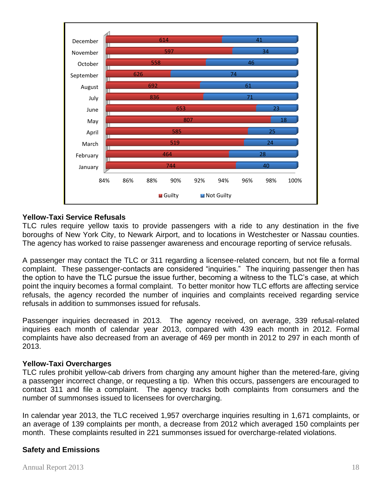

#### **Yellow-Taxi Service Refusals**

TLC rules require yellow taxis to provide passengers with a ride to any destination in the five boroughs of New York City, to Newark Airport, and to locations in Westchester or Nassau counties. The agency has worked to raise passenger awareness and encourage reporting of service refusals.

A passenger may contact the TLC or 311 regarding a licensee-related concern, but not file a formal complaint. These passenger-contacts are considered "inquiries." The inquiring passenger then has the option to have the TLC pursue the issue further, becoming a witness to the TLC's case, at which point the inquiry becomes a formal complaint. To better monitor how TLC efforts are affecting service refusals, the agency recorded the number of inquiries and complaints received regarding service refusals in addition to summonses issued for refusals.

Passenger inquiries decreased in 2013. The agency received, on average, 339 refusal-related inquiries each month of calendar year 2013, compared with 439 each month in 2012. Formal complaints have also decreased from an average of 469 per month in 2012 to 297 in each month of 2013.

#### **Yellow-Taxi Overcharges**

TLC rules prohibit yellow-cab drivers from charging any amount higher than the metered-fare, giving a passenger incorrect change, or requesting a tip. When this occurs, passengers are encouraged to contact 311 and file a complaint. The agency tracks both complaints from consumers and the number of summonses issued to licensees for overcharging.

In calendar year 2013, the TLC received 1,957 overcharge inquiries resulting in 1,671 complaints, or an average of 139 complaints per month, a decrease from 2012 which averaged 150 complaints per month. These complaints resulted in 221 summonses issued for overcharge-related violations.

#### **Safety and Emissions**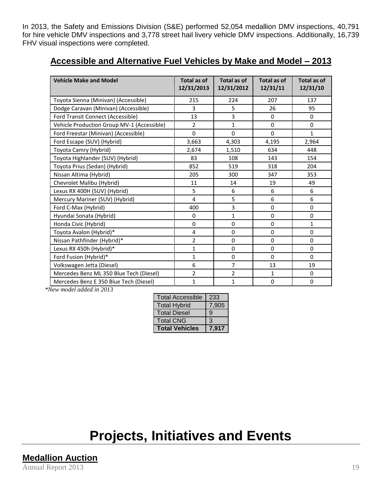In 2013, the Safety and Emissions Division (S&E) performed 52,054 medallion DMV inspections, 40,791 for hire vehicle DMV inspections and 3,778 street hail livery vehicle DMV inspections. Additionally, 16,739 FHV visual inspections were completed.

| <b>Vehicle Make and Model</b>              | Total as of<br>12/31/2013 | Total as of<br>12/31/2012 | Total as of<br>12/31/11 | <b>Total as of</b><br>12/31/10 |
|--------------------------------------------|---------------------------|---------------------------|-------------------------|--------------------------------|
| Toyota Sienna (Minivan) (Accessible)       | 215                       | 224                       | 207                     | 137                            |
| Dodge Caravan (Minivan) (Accessible)       | 3                         | 5                         | 26                      | 95                             |
| Ford Transit Connect (Accessible)          | 13                        | 3                         | $\Omega$                | $\Omega$                       |
| Vehicle Production Group MV-1 (Accessible) | $\overline{2}$            | 1                         | $\mathbf 0$             | $\Omega$                       |
| Ford Freestar (Minivan) (Accessible)       | $\Omega$                  | $\Omega$                  | $\Omega$                | $\mathbf{1}$                   |
| Ford Escape (SUV) (Hybrid)                 | 3,663                     | 4,303                     | 4,195                   | 2,964                          |
| Toyota Camry (Hybrid)                      | 2,674                     | 1,510                     | 634                     | 448                            |
| Toyota Highlander (SUV) (Hybrid)           | 83                        | 108                       | 143                     | 154                            |
| Toyota Prius (Sedan) (Hybrid)              | 852                       | 519                       | 318                     | 204                            |
| Nissan Altima (Hybrid)                     | 205                       | 300                       | 347                     | 353                            |
| Chevrolet Malibu (Hybrid)                  | 11                        | 14                        | 19                      | 49                             |
| Lexus RX 400H (SUV) (Hybrid)               | 5                         | 6                         | 6                       | 6                              |
| Mercury Mariner (SUV) (Hybrid)             | 4                         | 5                         | 6                       | 6                              |
| Ford C-Max (Hybrid)                        | 400                       | 3                         | $\Omega$                | $\Omega$                       |
| Hyundai Sonata (Hybrid)                    | 0                         | 1                         | $\mathbf 0$             | 0                              |
| Honda Civic (Hybrid)                       | 0                         | $\mathbf 0$               | $\mathbf 0$             | $\mathbf{1}$                   |
| Toyota Avalon (Hybrid)*                    | 4                         | $\mathbf 0$               | 0                       | $\Omega$                       |
| Nissan Pathfinder (Hybrid)*                | 2                         | $\mathbf 0$               | $\mathbf 0$             | $\Omega$                       |
| Lexus RX 450h (Hybrid)*                    | 1                         | $\mathbf 0$               | $\mathbf 0$             | $\Omega$                       |
| Ford Fusion (Hybrid)*                      | 1                         | $\mathbf 0$               | $\Omega$                | $\Omega$                       |
| Volkswagen Jetta (Diesel)                  | 6                         | $\overline{7}$            | 13                      | 19                             |
| Mercedes Benz ML 350 Blue Tech (Diesel)    | $\overline{2}$            | $\overline{2}$            | $\mathbf{1}$            | $\Omega$                       |
| Mercedes Benz E 350 Blue Tech (Diesel)     | $\mathbf{1}$              | $\mathbf{1}$              | $\mathbf{0}$            | $\Omega$                       |

## **Accessible and Alternative Fuel Vehicles by Make and Model – 2013**

*\*New model added in 2013*

| <b>Total Accessible</b> | 233   |
|-------------------------|-------|
| <b>Total Hybrid</b>     | 7,905 |
| <b>Total Diesel</b>     | 9     |
| <b>Total CNG</b>        | 3     |
| <b>Total Vehicles</b>   | 7.917 |

# **Projects, Initiatives and Events**

Annual Report 2013 19 **Medallion Auction**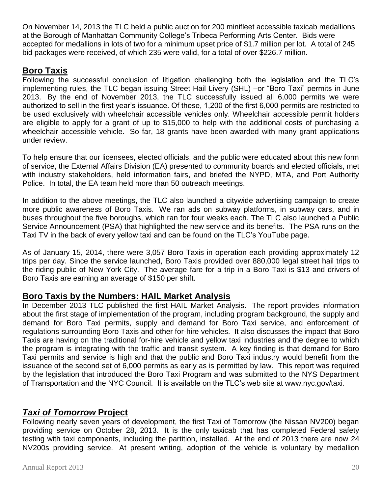On November 14, 2013 the TLC held a public auction for 200 minifleet accessible taxicab medallions at the Borough of Manhattan Community College's Tribeca Performing Arts Center. Bids were accepted for medallions in lots of two for a minimum upset price of \$1.7 million per lot. A total of 245 bid packages were received, of which 235 were valid, for a total of over \$226.7 million.

# **Boro Taxis**

Following the successful conclusion of litigation challenging both the legislation and the TLC's implementing rules, the TLC began issuing Street Hail Livery (SHL) –or "Boro Taxi" permits in June 2013. By the end of November 2013, the TLC successfully issued all 6,000 permits we were authorized to sell in the first year's issuance. Of these, 1,200 of the first 6,000 permits are restricted to be used exclusively with wheelchair accessible vehicles only. Wheelchair accessible permit holders are eligible to apply for a grant of up to \$15,000 to help with the additional costs of purchasing a wheelchair accessible vehicle. So far, 18 grants have been awarded with many grant applications under review.

To help ensure that our licensees, elected officials, and the public were educated about this new form of service, the External Affairs Division (EA) presented to community boards and elected officials, met with industry stakeholders, held information fairs, and briefed the NYPD, MTA, and Port Authority Police. In total, the EA team held more than 50 outreach meetings.

In addition to the above meetings, the TLC also launched a citywide advertising campaign to create more public awareness of Boro Taxis. We ran ads on subway platforms, in subway cars, and in buses throughout the five boroughs, which ran for four weeks each. The TLC also launched a Public Service Announcement (PSA) that highlighted the new service and its benefits. The PSA runs on the Taxi TV in the back of every yellow taxi and can be found on the TLC's YouTube page.

As of January 15, 2014, there were 3,057 Boro Taxis in operation each providing approximately 12 trips per day. Since the service launched, Boro Taxis provided over 880,000 legal street hail trips to the riding public of New York City. The average fare for a trip in a Boro Taxi is \$13 and drivers of Boro Taxis are earning an average of \$150 per shift.

# **Boro Taxis by the Numbers: HAIL Market Analysis**

In December 2013 TLC published the first HAIL Market Analysis. The report provides information about the first stage of implementation of the program, including program background, the supply and demand for Boro Taxi permits, supply and demand for Boro Taxi service, and enforcement of regulations surrounding Boro Taxis and other for-hire vehicles. It also discusses the impact that Boro Taxis are having on the traditional for-hire vehicle and yellow taxi industries and the degree to which the program is integrating with the traffic and transit system. A key finding is that demand for Boro Taxi permits and service is high and that the public and Boro Taxi industry would benefit from the issuance of the second set of 6,000 permits as early as is permitted by law. This report was required by the legislation that introduced the Boro Taxi Program and was submitted to the NYS Department of Transportation and the NYC Council. It is available on the TLC's web site at www.nyc.gov/taxi.

# *Taxi of Tomorrow* **Project**

Following nearly seven years of development, the first Taxi of Tomorrow (the Nissan NV200) began providing service on October 28, 2013. It is the only taxicab that has completed Federal safety testing with taxi components, including the partition, installed. At the end of 2013 there are now 24 NV200s providing service. At present writing, adoption of the vehicle is voluntary by medallion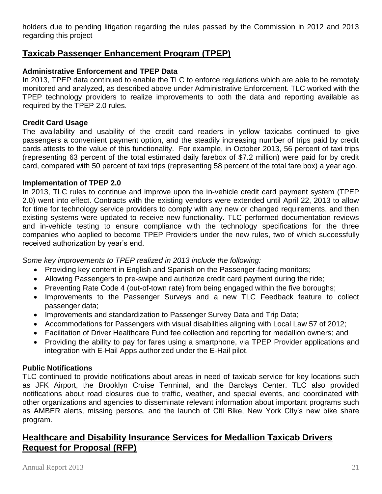holders due to pending litigation regarding the rules passed by the Commission in 2012 and 2013 regarding this project

# **Taxicab Passenger Enhancement Program (TPEP)**

#### **Administrative Enforcement and TPEP Data**

In 2013, TPEP data continued to enable the TLC to enforce regulations which are able to be remotely monitored and analyzed, as described above under Administrative Enforcement. TLC worked with the TPEP technology providers to realize improvements to both the data and reporting available as required by the TPEP 2.0 rules.

#### **Credit Card Usage**

The availability and usability of the credit card readers in yellow taxicabs continued to give passengers a convenient payment option, and the steadily increasing number of trips paid by credit cards attests to the value of this functionality. For example, in October 2013, 56 percent of taxi trips (representing 63 percent of the total estimated daily farebox of \$7.2 million) were paid for by credit card, compared with 50 percent of taxi trips (representing 58 percent of the total fare box) a year ago.

#### **Implementation of TPEP 2.0**

In 2013, TLC rules to continue and improve upon the in-vehicle credit card payment system (TPEP 2.0) went into effect. Contracts with the existing vendors were extended until April 22, 2013 to allow for time for technology service providers to comply with any new or changed requirements, and then existing systems were updated to receive new functionality. TLC performed documentation reviews and in-vehicle testing to ensure compliance with the technology specifications for the three companies who applied to become TPEP Providers under the new rules, two of which successfully received authorization by year's end.

*Some key improvements to TPEP realized in 2013 include the following:* 

- Providing key content in English and Spanish on the Passenger-facing monitors;
- Allowing Passengers to pre-swipe and authorize credit card payment during the ride;
- Preventing Rate Code 4 (out-of-town rate) from being engaged within the five boroughs;
- Improvements to the Passenger Surveys and a new TLC Feedback feature to collect passenger data;
- Improvements and standardization to Passenger Survey Data and Trip Data;
- Accommodations for Passengers with visual disabilities aligning with Local Law 57 of 2012;
- Facilitation of Driver Healthcare Fund fee collection and reporting for medallion owners; and
- Providing the ability to pay for fares using a smartphone, via TPEP Provider applications and integration with E-Hail Apps authorized under the E-Hail pilot.

#### **Public Notifications**

TLC continued to provide notifications about areas in need of taxicab service for key locations such as JFK Airport, the Brooklyn Cruise Terminal, and the Barclays Center. TLC also provided notifications about road closures due to traffic, weather, and special events, and coordinated with other organizations and agencies to disseminate relevant information about important programs such as AMBER alerts, missing persons, and the launch of Citi Bike, New York City's new bike share program.

# **Healthcare and Disability Insurance Services for Medallion Taxicab Drivers Request for Proposal (RFP)**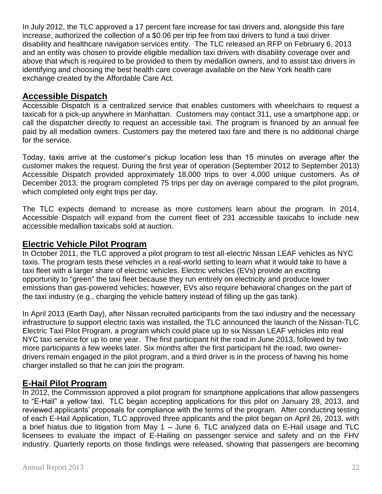In July 2012, the TLC approved a 17 percent fare increase for taxi drivers and, alongside this fare increase, authorized the collection of a \$0.06 per trip fee from taxi drivers to fund a taxi driver disability and healthcare navigation services entity. The TLC released an RFP on February 6, 2013 and an entity was chosen to provide eligible medallion taxi drivers with disability coverage over and above that which is required to be provided to them by medallion owners, and to assist taxi drivers in identifying and choosing the best health care coverage available on the New York health care exchange created by the Affordable Care Act.

# **Accessible Dispatch**

Accessible Dispatch is a centralized service that enables customers with wheelchairs to request a taxicab for a pick-up anywhere in Manhattan. Customers may contact 311, use a smartphone app, or call the dispatcher directly to request an accessible taxi. The program is financed by an annual fee paid by all medallion owners. Customers pay the metered taxi fare and there is no additional charge for the service.

Today, taxis arrive at the customer's pickup location less than 15 minutes on average after the customer makes the request. During the first year of operation (September 2012 to September 2013) Accessible Dispatch provided approximately 18,000 trips to over 4,000 unique customers. As of December 2013, the program completed 75 trips per day on average compared to the pilot program, which completed only eight trips per day.

The TLC expects demand to increase as more customers learn about the program. In 2014, Accessible Dispatch will expand from the current fleet of 231 accessible taxicabs to include new accessible medallion taxicabs sold at auction.

# **Electric Vehicle Pilot Program**

In October 2011, the TLC approved a pilot program to test all-electric Nissan LEAF vehicles as NYC taxis. The program tests these vehicles in a real-world setting to learn what it would take to have a taxi fleet with a larger share of electric vehicles. Electric vehicles (EVs) provide an exciting opportunity to "green" the taxi fleet because they run entirely on electricity and produce lower emissions than gas-powered vehicles; however, EVs also require behavioral changes on the part of the taxi industry (e.g., charging the vehicle battery instead of filling up the gas tank).

In April 2013 (Earth Day), after Nissan recruited participants from the taxi industry and the necessary infrastructure to support electric taxis was installed, the TLC announced the launch of the Nissan-TLC Electric Taxi Pilot Program, a program which could place up to six Nissan LEAF vehicles into real NYC taxi service for up to one year. The first participant hit the road in June 2013, followed by two more participants a few weeks later. Six months after the first participant hit the road, two ownerdrivers remain engaged in the pilot program, and a third driver is in the process of having his home charger installed so that he can join the program.

# **E-Hail Pilot Program**

In 2012, the Commission approved a pilot program for smartphone applications that allow passengers to "E-Hail" a yellow taxi. TLC began accepting applications for this pilot on January 28, 2013, and reviewed applicants' proposals for compliance with the terms of the program. After conducting testing of each E-Hail Application, TLC approved three applicants and the pilot began on April 26, 2013, with a brief hiatus due to litigation from May 1 – June 6. TLC analyzed data on E-Hail usage and TLC licensees to evaluate the impact of E-Hailing on passenger service and safety and on the FHV industry. Quarterly reports on those findings were released, showing that passengers are becoming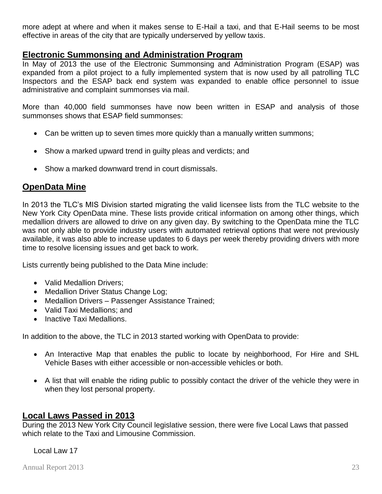more adept at where and when it makes sense to E-Hail a taxi, and that E-Hail seems to be most effective in areas of the city that are typically underserved by yellow taxis.

### **Electronic Summonsing and Administration Program**

In May of 2013 the use of the Electronic Summonsing and Administration Program (ESAP) was expanded from a pilot project to a fully implemented system that is now used by all patrolling TLC Inspectors and the ESAP back end system was expanded to enable office personnel to issue administrative and complaint summonses via mail.

More than 40,000 field summonses have now been written in ESAP and analysis of those summonses shows that ESAP field summonses:

- Can be written up to seven times more quickly than a manually written summons;
- Show a marked upward trend in guilty pleas and verdicts; and
- Show a marked downward trend in court dismissals.

# **OpenData Mine**

In 2013 the TLC's MIS Division started migrating the valid licensee lists from the TLC website to the New York City OpenData mine. These lists provide critical information on among other things, which medallion drivers are allowed to drive on any given day. By switching to the OpenData mine the TLC was not only able to provide industry users with automated retrieval options that were not previously available, it was also able to increase updates to 6 days per week thereby providing drivers with more time to resolve licensing issues and get back to work.

Lists currently being published to the Data Mine include:

- Valid Medallion Drivers:
- Medallion Driver Status Change Log;
- Medallion Drivers Passenger Assistance Trained;
- Valid Taxi Medallions; and
- Inactive Taxi Medallions.

In addition to the above, the TLC in 2013 started working with OpenData to provide:

- An Interactive Map that enables the public to locate by neighborhood, For Hire and SHL Vehicle Bases with either accessible or non-accessible vehicles or both.
- A list that will enable the riding public to possibly contact the driver of the vehicle they were in when they lost personal property.

# **Local Laws Passed in 2013**

During the 2013 New York City Council legislative session, there were five Local Laws that passed which relate to the Taxi and Limousine Commission.

#### Local Law 17